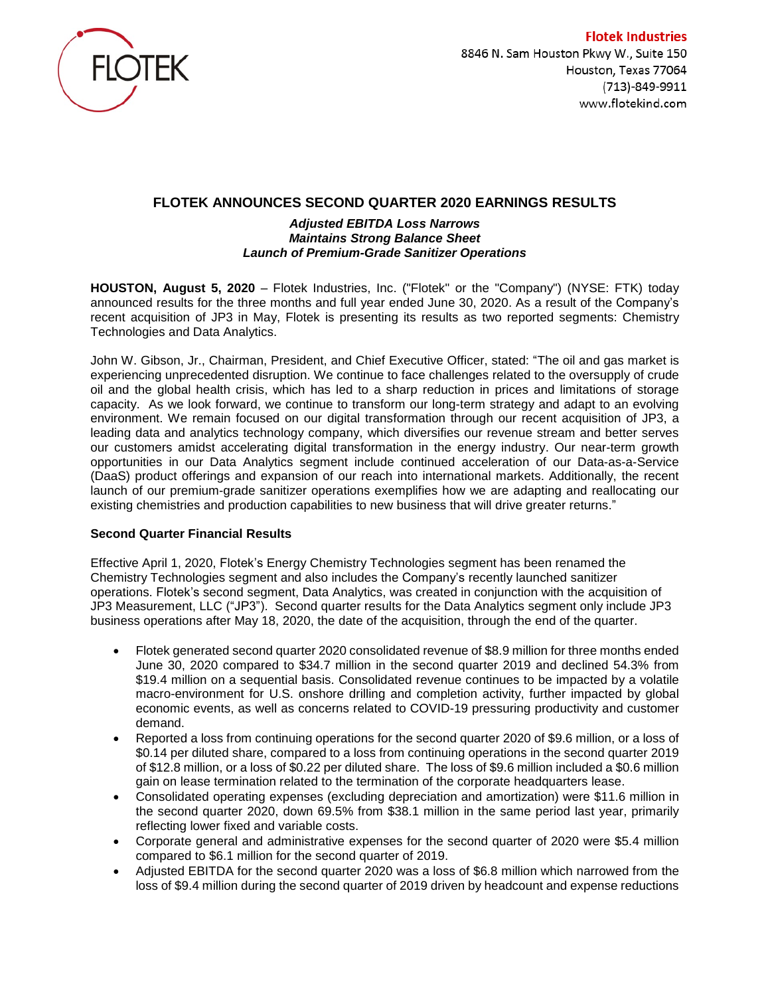

# **FLOTEK ANNOUNCES SECOND QUARTER 2020 EARNINGS RESULTS**

## *Adjusted EBITDA Loss Narrows Maintains Strong Balance Sheet Launch of Premium-Grade Sanitizer Operations*

**HOUSTON, August 5, 2020** – Flotek Industries, Inc. ("Flotek" or the "Company") (NYSE: FTK) today announced results for the three months and full year ended June 30, 2020. As a result of the Company's recent acquisition of JP3 in May, Flotek is presenting its results as two reported segments: Chemistry Technologies and Data Analytics.

John W. Gibson, Jr., Chairman, President, and Chief Executive Officer, stated: "The oil and gas market is experiencing unprecedented disruption. We continue to face challenges related to the oversupply of crude oil and the global health crisis, which has led to a sharp reduction in prices and limitations of storage capacity. As we look forward, we continue to transform our long-term strategy and adapt to an evolving environment. We remain focused on our digital transformation through our recent acquisition of JP3, a leading data and analytics technology company, which diversifies our revenue stream and better serves our customers amidst accelerating digital transformation in the energy industry. Our near-term growth opportunities in our Data Analytics segment include continued acceleration of our Data-as-a-Service (DaaS) product offerings and expansion of our reach into international markets. Additionally, the recent launch of our premium-grade sanitizer operations exemplifies how we are adapting and reallocating our existing chemistries and production capabilities to new business that will drive greater returns."

# **Second Quarter Financial Results**

Effective April 1, 2020, Flotek's Energy Chemistry Technologies segment has been renamed the Chemistry Technologies segment and also includes the Company's recently launched sanitizer operations. Flotek's second segment, Data Analytics, was created in conjunction with the acquisition of JP3 Measurement, LLC ("JP3"). Second quarter results for the Data Analytics segment only include JP3 business operations after May 18, 2020, the date of the acquisition, through the end of the quarter.

- Flotek generated second quarter 2020 consolidated revenue of \$8.9 million for three months ended June 30, 2020 compared to \$34.7 million in the second quarter 2019 and declined 54.3% from \$19.4 million on a sequential basis. Consolidated revenue continues to be impacted by a volatile macro-environment for U.S. onshore drilling and completion activity, further impacted by global economic events, as well as concerns related to COVID-19 pressuring productivity and customer demand.
- Reported a loss from continuing operations for the second quarter 2020 of \$9.6 million, or a loss of \$0.14 per diluted share, compared to a loss from continuing operations in the second quarter 2019 of \$12.8 million, or a loss of \$0.22 per diluted share. The loss of \$9.6 million included a \$0.6 million gain on lease termination related to the termination of the corporate headquarters lease.
- Consolidated operating expenses (excluding depreciation and amortization) were \$11.6 million in the second quarter 2020, down 69.5% from \$38.1 million in the same period last year, primarily reflecting lower fixed and variable costs.
- Corporate general and administrative expenses for the second quarter of 2020 were \$5.4 million compared to \$6.1 million for the second quarter of 2019.
- Adjusted EBITDA for the second quarter 2020 was a loss of \$6.8 million which narrowed from the loss of \$9.4 million during the second quarter of 2019 driven by headcount and expense reductions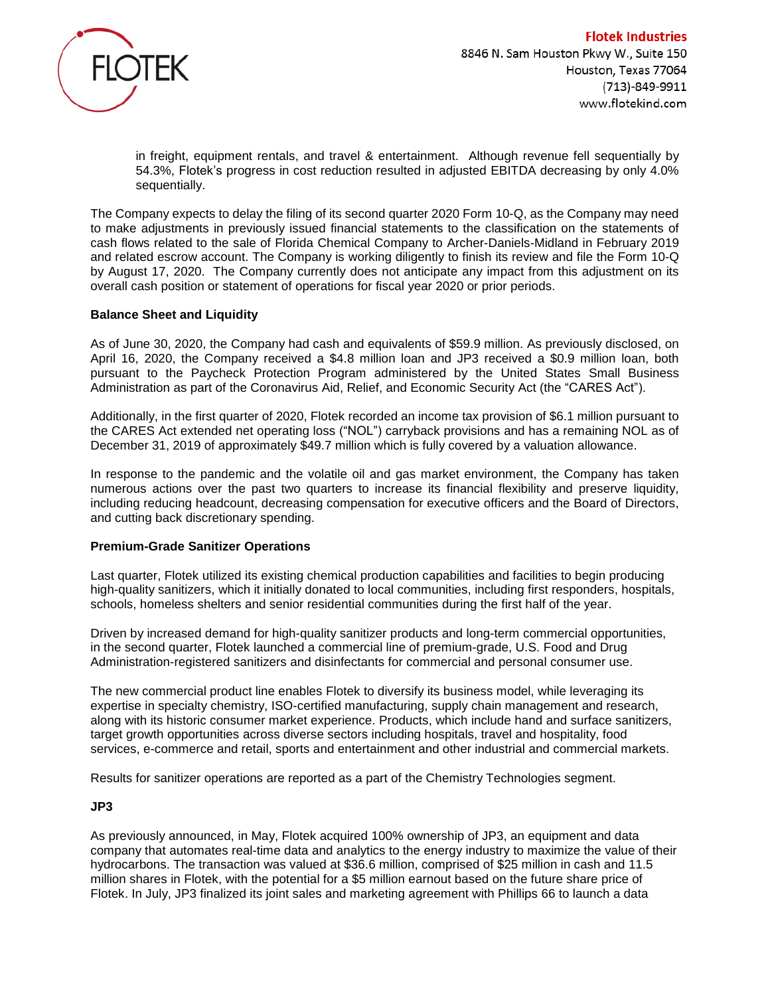

in freight, equipment rentals, and travel & entertainment. Although revenue fell sequentially by 54.3%, Flotek's progress in cost reduction resulted in adjusted EBITDA decreasing by only 4.0% sequentially.

The Company expects to delay the filing of its second quarter 2020 Form 10-Q, as the Company may need to make adjustments in previously issued financial statements to the classification on the statements of cash flows related to the sale of Florida Chemical Company to Archer-Daniels-Midland in February 2019 and related escrow account. The Company is working diligently to finish its review and file the Form 10-Q by August 17, 2020. The Company currently does not anticipate any impact from this adjustment on its overall cash position or statement of operations for fiscal year 2020 or prior periods.

## **Balance Sheet and Liquidity**

As of June 30, 2020, the Company had cash and equivalents of \$59.9 million. As previously disclosed, on April 16, 2020, the Company received a \$4.8 million loan and JP3 received a \$0.9 million loan, both pursuant to the Paycheck Protection Program administered by the United States Small Business Administration as part of the Coronavirus Aid, Relief, and Economic Security Act (the "CARES Act").

Additionally, in the first quarter of 2020, Flotek recorded an income tax provision of \$6.1 million pursuant to the CARES Act extended net operating loss ("NOL") carryback provisions and has a remaining NOL as of December 31, 2019 of approximately \$49.7 million which is fully covered by a valuation allowance.

In response to the pandemic and the volatile oil and gas market environment, the Company has taken numerous actions over the past two quarters to increase its financial flexibility and preserve liquidity, including reducing headcount, decreasing compensation for executive officers and the Board of Directors, and cutting back discretionary spending.

#### **Premium-Grade Sanitizer Operations**

Last quarter, Flotek utilized its existing chemical production capabilities and facilities to begin producing high-quality sanitizers, which it initially donated to local communities, including first responders, hospitals, schools, homeless shelters and senior residential communities during the first half of the year.

Driven by increased demand for high-quality sanitizer products and long-term commercial opportunities, in the second quarter, Flotek launched a commercial line of premium-grade, U.S. Food and Drug Administration-registered sanitizers and disinfectants for commercial and personal consumer use.

The new commercial product line enables Flotek to diversify its business model, while leveraging its expertise in specialty chemistry, ISO-certified manufacturing, supply chain management and research, along with its historic consumer market experience. Products, which include hand and surface sanitizers, target growth opportunities across diverse sectors including hospitals, travel and hospitality, food services, e-commerce and retail, sports and entertainment and other industrial and commercial markets.

Results for sanitizer operations are reported as a part of the Chemistry Technologies segment.

#### **JP3**

As previously announced, in May, Flotek acquired 100% ownership of JP3, an equipment and data company that automates real-time data and analytics to the energy industry to maximize the value of their hydrocarbons. The transaction was valued at \$36.6 million, comprised of \$25 million in cash and 11.5 million shares in Flotek, with the potential for a \$5 million earnout based on the future share price of Flotek. In July, JP3 finalized its joint sales and marketing agreement with Phillips 66 to launch a data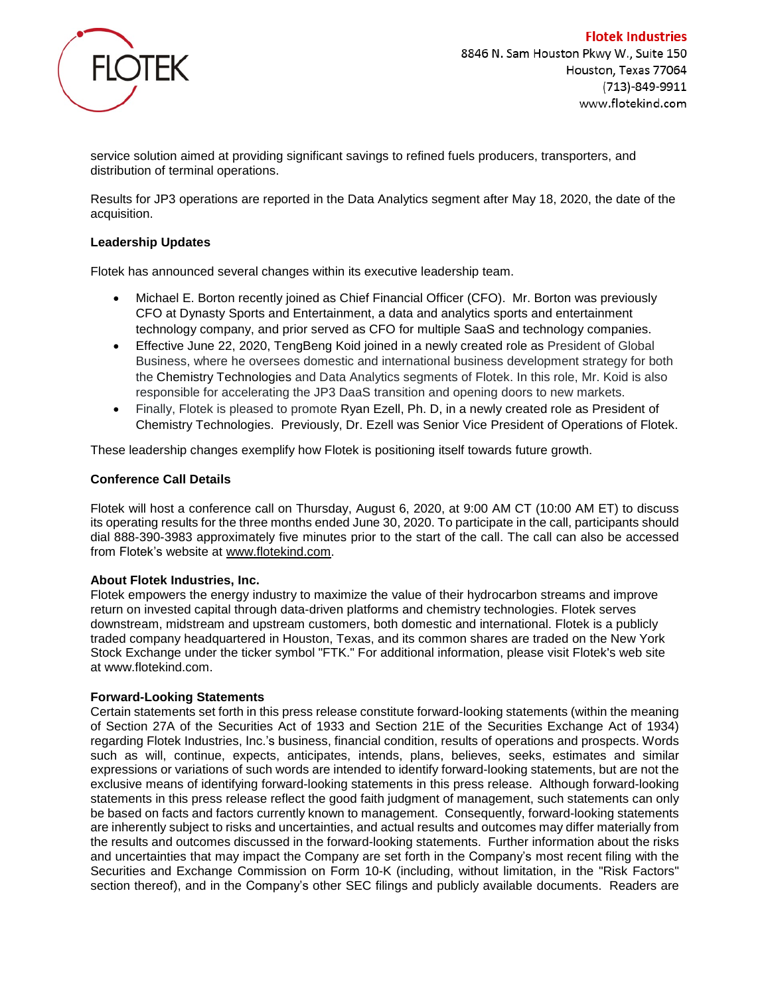

service solution aimed at providing significant savings to refined fuels producers, transporters, and distribution of terminal operations.

Results for JP3 operations are reported in the Data Analytics segment after May 18, 2020, the date of the acquisition.

## **Leadership Updates**

Flotek has announced several changes within its executive leadership team.

- Michael E. Borton recently joined as Chief Financial Officer (CFO). Mr. Borton was previously CFO at Dynasty Sports and Entertainment, a data and analytics sports and entertainment technology company, and prior served as CFO for multiple SaaS and technology companies.
- Effective June 22, 2020, TengBeng Koid joined in a newly created role as President of Global Business, where he oversees domestic and international business development strategy for both the Chemistry Technologies and Data Analytics segments of Flotek. In this role, Mr. Koid is also responsible for accelerating the JP3 DaaS transition and opening doors to new markets.
- Finally, Flotek is pleased to promote Ryan Ezell, Ph. D, in a newly created role as President of Chemistry Technologies. Previously, Dr. Ezell was Senior Vice President of Operations of Flotek.

These leadership changes exemplify how Flotek is positioning itself towards future growth.

## **Conference Call Details**

Flotek will host a conference call on Thursday, August 6, 2020, at 9:00 AM CT (10:00 AM ET) to discuss its operating results for the three months ended June 30, 2020. To participate in the call, participants should dial 888-390-3983 approximately five minutes prior to the start of the call. The call can also be accessed from Flotek's website at [www.flotekind.com.](http://www.flotekind.com/)

## **About Flotek Industries, Inc.**

Flotek empowers the energy industry to maximize the value of their hydrocarbon streams and improve return on invested capital through data-driven platforms and chemistry technologies. Flotek serves downstream, midstream and upstream customers, both domestic and international. Flotek is a publicly traded company headquartered in Houston, Texas, and its common shares are traded on the New York Stock Exchange under the ticker symbol "FTK." For additional information, please visit Flotek's web site at [www.flotekind.com.](http://www.flotekind.com/)

## **Forward-Looking Statements**

Certain statements set forth in this press release constitute forward-looking statements (within the meaning of Section 27A of the Securities Act of 1933 and Section 21E of the Securities Exchange Act of 1934) regarding Flotek Industries, Inc.'s business, financial condition, results of operations and prospects. Words such as will, continue, expects, anticipates, intends, plans, believes, seeks, estimates and similar expressions or variations of such words are intended to identify forward-looking statements, but are not the exclusive means of identifying forward-looking statements in this press release. Although forward-looking statements in this press release reflect the good faith judgment of management, such statements can only be based on facts and factors currently known to management. Consequently, forward-looking statements are inherently subject to risks and uncertainties, and actual results and outcomes may differ materially from the results and outcomes discussed in the forward-looking statements. Further information about the risks and uncertainties that may impact the Company are set forth in the Company's most recent filing with the Securities and Exchange Commission on Form 10-K (including, without limitation, in the "Risk Factors" section thereof), and in the Company's other SEC filings and publicly available documents. Readers are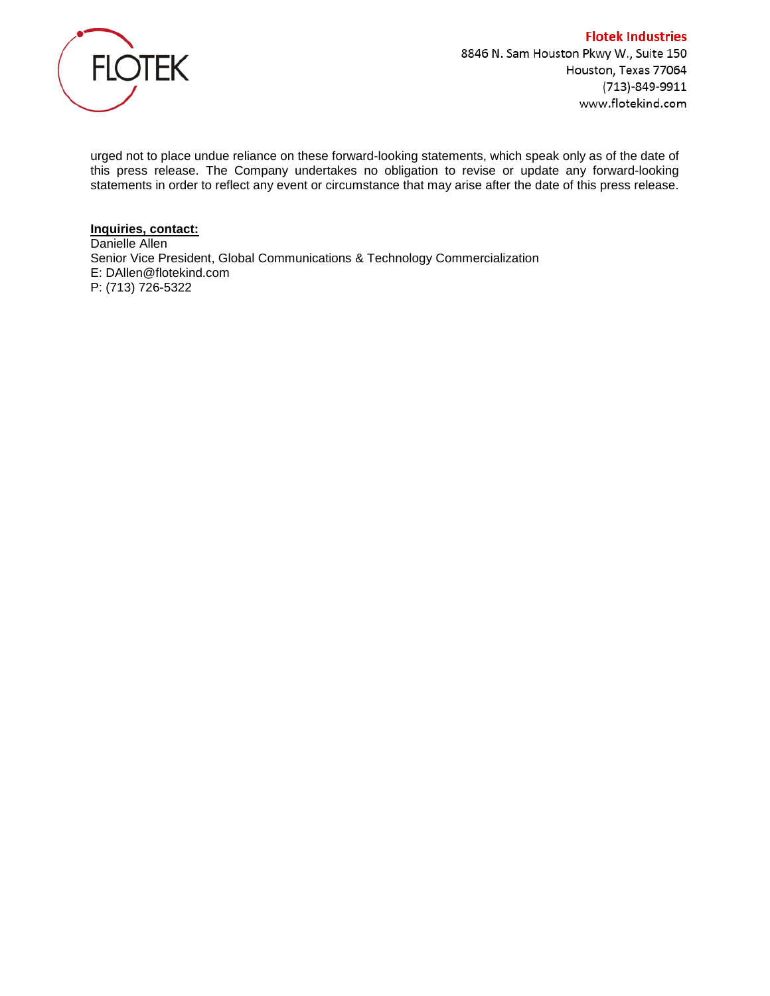

urged not to place undue reliance on these forward-looking statements, which speak only as of the date of this press release. The Company undertakes no obligation to revise or update any forward-looking statements in order to reflect any event or circumstance that may arise after the date of this press release.

**Inquiries, contact:** Danielle Allen Senior Vice President, Global Communications & Technology Commercialization E: DAllen@flotekind.com P: (713) 726-5322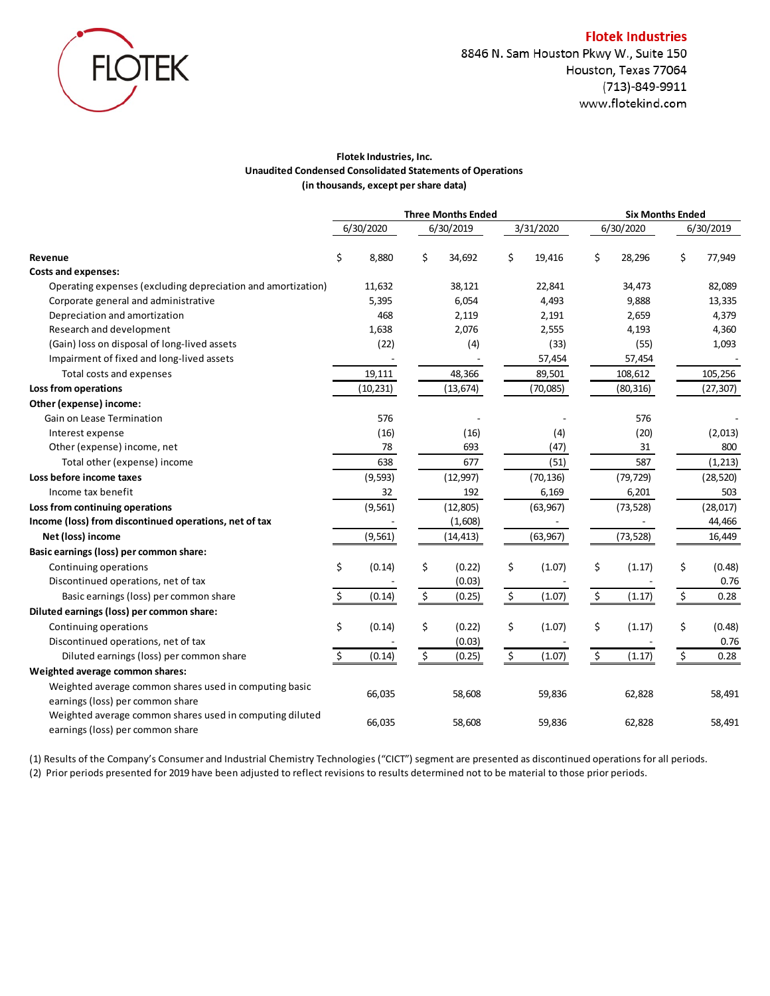

8846 N. Sam Houston Pkwy W., Suite 150 Houston, Texas 77064 (713)-849-9911 www.flotekind.com

#### **Flotek Industries, Inc. Unaudited Condensed Consolidated Statements of Operations (in thousands, except per share data)**

|                                                                                              | <b>Three Months Ended</b> |           |           |           | <b>Six Months Ended</b>  |    |                          |    |           |  |
|----------------------------------------------------------------------------------------------|---------------------------|-----------|-----------|-----------|--------------------------|----|--------------------------|----|-----------|--|
|                                                                                              | 6/30/2020                 |           | 6/30/2019 |           | 3/31/2020                |    | 6/30/2020                |    | 6/30/2019 |  |
| Revenue                                                                                      | \$                        | 8,880     | \$        | 34,692    | \$<br>19,416             | \$ | 28,296                   | \$ | 77,949    |  |
| <b>Costs and expenses:</b>                                                                   |                           |           |           |           |                          |    |                          |    |           |  |
| Operating expenses (excluding depreciation and amortization)                                 |                           | 11,632    |           | 38,121    | 22,841                   |    | 34,473                   |    | 82,089    |  |
| Corporate general and administrative                                                         |                           | 5,395     |           | 6,054     | 4,493                    |    | 9,888                    |    | 13,335    |  |
| Depreciation and amortization                                                                |                           | 468       |           | 2,119     | 2,191                    |    | 2,659                    |    | 4,379     |  |
| Research and development                                                                     |                           | 1,638     |           | 2,076     | 2,555                    |    | 4,193                    |    | 4,360     |  |
| (Gain) loss on disposal of long-lived assets                                                 |                           | (22)      |           | (4)       | (33)                     |    | (55)                     |    | 1,093     |  |
| Impairment of fixed and long-lived assets                                                    |                           |           |           |           | 57,454                   |    | 57,454                   |    |           |  |
| Total costs and expenses                                                                     |                           | 19,111    |           | 48,366    | 89,501                   |    | 108,612                  |    | 105,256   |  |
| Loss from operations                                                                         |                           | (10, 231) |           | (13, 674) | (70,085)                 |    | (80, 316)                |    | (27, 307) |  |
| Other (expense) income:                                                                      |                           |           |           |           |                          |    |                          |    |           |  |
| Gain on Lease Termination                                                                    |                           | 576       |           |           |                          |    | 576                      |    |           |  |
| Interest expense                                                                             |                           | (16)      |           | (16)      | (4)                      |    | (20)                     |    | (2,013)   |  |
| Other (expense) income, net                                                                  |                           | 78        |           | 693       | (47)                     |    | 31                       |    | 800       |  |
| Total other (expense) income                                                                 |                           | 638       |           | 677       | (51)                     |    | 587                      |    | (1, 213)  |  |
| Loss before income taxes                                                                     |                           | (9, 593)  |           | (12, 997) | (70, 136)                |    | (79, 729)                |    | (28, 520) |  |
| Income tax benefit                                                                           |                           | 32        |           | 192       | 6,169                    |    | 6,201                    |    | 503       |  |
| Loss from continuing operations                                                              |                           | (9, 561)  |           | (12, 805) | (63, 967)                |    | (73, 528)                |    | (28, 017) |  |
| Income (loss) from discontinued operations, net of tax                                       |                           |           |           | (1,608)   | $\overline{\phantom{m}}$ |    | $\overline{\phantom{a}}$ |    | 44,466    |  |
| Net (loss) income                                                                            |                           | (9, 561)  |           | (14, 413) | (63, 967)                |    | (73, 528)                |    | 16,449    |  |
| Basic earnings (loss) per common share:                                                      |                           |           |           |           |                          |    |                          |    |           |  |
| Continuing operations                                                                        | \$                        | (0.14)    | \$        | (0.22)    | \$<br>(1.07)             | \$ | (1.17)                   | \$ | (0.48)    |  |
| Discontinued operations, net of tax                                                          |                           |           |           | (0.03)    |                          |    |                          |    | 0.76      |  |
| Basic earnings (loss) per common share                                                       | Ś.                        | (0.14)    | \$        | (0.25)    | \$<br>(1.07)             | \$ | (1.17)                   | \$ | 0.28      |  |
| Diluted earnings (loss) per common share:                                                    |                           |           |           |           |                          |    |                          |    |           |  |
| Continuing operations                                                                        | \$                        | (0.14)    | \$        | (0.22)    | \$<br>(1.07)             | \$ | (1.17)                   | \$ | (0.48)    |  |
| Discontinued operations, net of tax                                                          |                           |           |           | (0.03)    |                          |    |                          |    | 0.76      |  |
| Diluted earnings (loss) per common share                                                     | Ś.                        | (0.14)    | \$        | (0.25)    | \$<br>(1.07)             | \$ | (1.17)                   | \$ | 0.28      |  |
| Weighted average common shares:                                                              |                           |           |           |           |                          |    |                          |    |           |  |
| Weighted average common shares used in computing basic<br>earnings (loss) per common share   |                           | 66,035    |           | 58,608    | 59,836                   |    | 62,828                   |    | 58,491    |  |
| Weighted average common shares used in computing diluted<br>earnings (loss) per common share |                           | 66,035    |           | 58,608    | 59,836                   |    | 62,828                   |    | 58,491    |  |

(1) Results of the Company's Consumer and Industrial Chemistry Technologies ("CICT") segment are presented as discontinued operations for all periods.

(2) Prior periods presented for 2019 have been adjusted to reflect revisions to results determined not to be material to those prior periods.

# **Flotek Industries**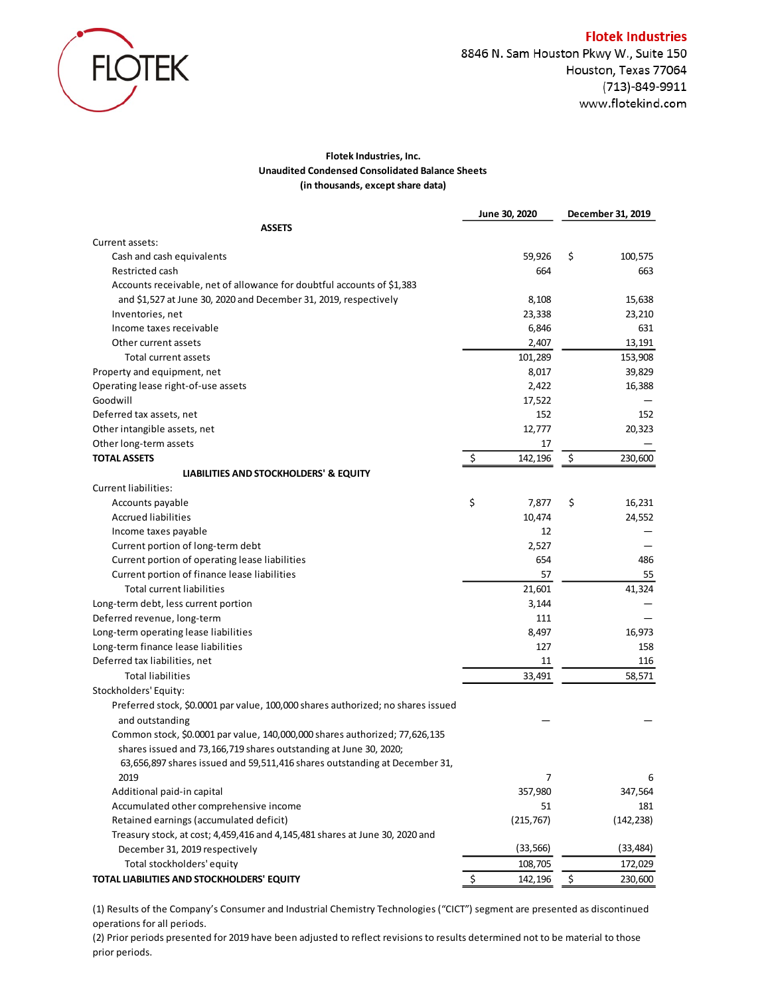

**Flotek Industries** 8846 N. Sam Houston Pkwy W., Suite 150 Houston, Texas 77064 (713)-849-9911 www.flotekind.com

#### **Flotek Industries, Inc. Unaudited Condensed Consolidated Balance Sheets (in thousands, except share data)**

|                                                                                  | June 30, 2020 | December 31, 2019 |
|----------------------------------------------------------------------------------|---------------|-------------------|
| <b>ASSETS</b>                                                                    |               |                   |
| Current assets:                                                                  |               |                   |
| Cash and cash equivalents                                                        | 59,926        | \$<br>100,575     |
| Restricted cash                                                                  | 664           | 663               |
| Accounts receivable, net of allowance for doubtful accounts of \$1,383           |               |                   |
| and \$1,527 at June 30, 2020 and December 31, 2019, respectively                 | 8,108         | 15,638            |
| Inventories, net                                                                 | 23,338        | 23,210            |
| Income taxes receivable                                                          | 6,846         | 631               |
| Other current assets                                                             | 2,407         | 13,191            |
| Total current assets                                                             | 101,289       | 153,908           |
| Property and equipment, net                                                      | 8,017         | 39,829            |
| Operating lease right-of-use assets                                              | 2,422         | 16,388            |
| Goodwill                                                                         | 17,522        |                   |
| Deferred tax assets, net                                                         | 152           | 152               |
| Other intangible assets, net                                                     | 12,777        | 20,323            |
| Other long-term assets                                                           | 17            |                   |
| <b>TOTAL ASSETS</b>                                                              | \$<br>142,196 | \$<br>230,600     |
| LIABILITIES AND STOCKHOLDERS' & EQUITY                                           |               |                   |
| <b>Current liabilities:</b>                                                      |               |                   |
| Accounts payable                                                                 | \$<br>7,877   | \$<br>16,231      |
| <b>Accrued liabilities</b>                                                       | 10,474        | 24,552            |
| Income taxes payable                                                             | 12            |                   |
| Current portion of long-term debt                                                | 2,527         |                   |
| Current portion of operating lease liabilities                                   | 654           | 486               |
| Current portion of finance lease liabilities                                     | 57            | 55                |
| <b>Total current liabilities</b>                                                 | 21,601        | 41,324            |
| Long-term debt, less current portion                                             | 3,144         |                   |
| Deferred revenue, long-term                                                      | 111           |                   |
| Long-term operating lease liabilities                                            | 8,497         | 16,973            |
| Long-term finance lease liabilities                                              | 127           | 158               |
| Deferred tax liabilities, net                                                    | 11            | 116               |
| <b>Total liabilities</b>                                                         | 33,491        | 58,571            |
| Stockholders' Equity:                                                            |               |                   |
| Preferred stock, \$0.0001 par value, 100,000 shares authorized; no shares issued |               |                   |
| and outstanding                                                                  |               |                   |
| Common stock, \$0.0001 par value, 140,000,000 shares authorized; 77,626,135      |               |                   |
| shares issued and 73,166,719 shares outstanding at June 30, 2020;                |               |                   |
| 63,656,897 shares issued and 59,511,416 shares outstanding at December 31,       |               |                   |
| 2019                                                                             | 7             | $\boldsymbol{6}$  |
| Additional paid-in capital                                                       | 357,980       | 347,564           |
| Accumulated other comprehensive income                                           | 51            | 181               |
| Retained earnings (accumulated deficit)                                          | (215, 767)    | (142, 238)        |
| Treasury stock, at cost; 4,459,416 and 4,145,481 shares at June 30, 2020 and     |               |                   |
| December 31, 2019 respectively                                                   | (33, 566)     | (33, 484)         |
| Total stockholders' equity                                                       | 108,705       | 172,029           |
| TOTAL LIABILITIES AND STOCKHOLDERS' EQUITY                                       | \$<br>142,196 | \$<br>230,600     |
|                                                                                  |               |                   |

(1) Results of the Company's Consumer and Industrial Chemistry Technologies ("CICT") segment are presented as discontinued operations for all periods.

(2) Prior periods presented for 2019 have been adjusted to reflect revisions to results determined not to be material to those prior periods.